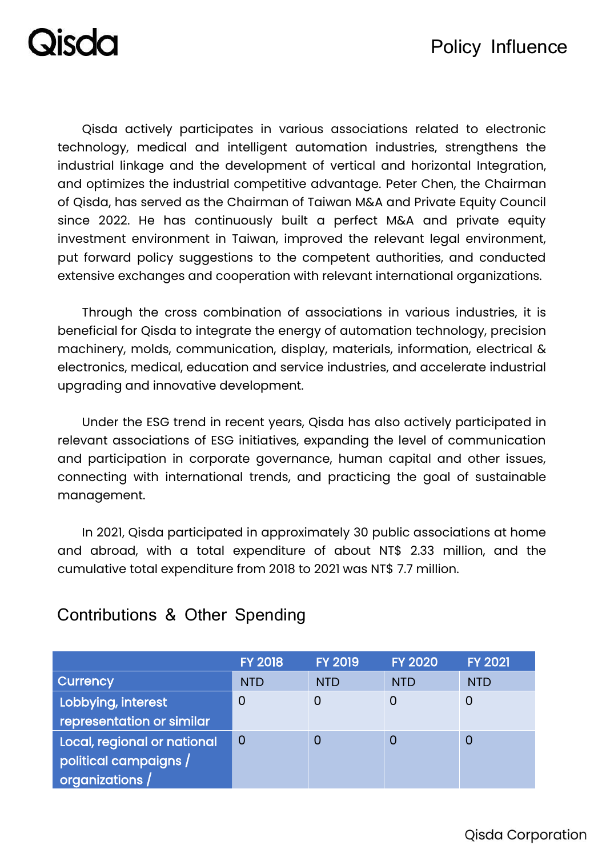### Policy Influence

**Disda** 

Qisda actively participates in various associations related to electronic technology, medical and intelligent automation industries, strengthens the industrial linkage and the development of vertical and horizontal Integration, and optimizes the industrial competitive advantage. Peter Chen, the Chairman of Qisda, has served as the Chairman of Taiwan M&A and Private Equity Council since 2022. He has continuously built a perfect M&A and private equity investment environment in Taiwan, improved the relevant legal environment, put forward policy suggestions to the competent authorities, and conducted extensive exchanges and cooperation with relevant international organizations.

Through the cross combination of associations in various industries, it is beneficial for Qisda to integrate the energy of automation technology, precision machinery, molds, communication, display, materials, information, electrical & electronics, medical, education and service industries, and accelerate industrial upgrading and innovative development.

Under the ESG trend in recent years, Qisda has also actively participated in relevant associations of ESG initiatives, expanding the level of communication and participation in corporate governance, human capital and other issues, connecting with international trends, and practicing the goal of sustainable management.

In 2021, Qisda participated in approximately 30 public associations at home and abroad, with a total expenditure of about NT\$ 2.33 million, and the cumulative total expenditure from 2018 to 2021 was NT\$ 7.7 million.

|                             | <b>FY 2018</b> | <b>FY 2019</b> | <b>FY 2020</b> | <b>FY 2021</b> |
|-----------------------------|----------------|----------------|----------------|----------------|
| Currency                    | <b>NTD</b>     | <b>NTD</b>     | <b>NTD</b>     | <b>NTD</b>     |
| Lobbying, interest          | O              |                | 0              |                |
| representation or similar   |                |                |                |                |
| Local, regional or national | 0              |                | 0              | O              |
| political campaigns /       |                |                |                |                |
| organizations /             |                |                |                |                |

#### Contributions & Other Spending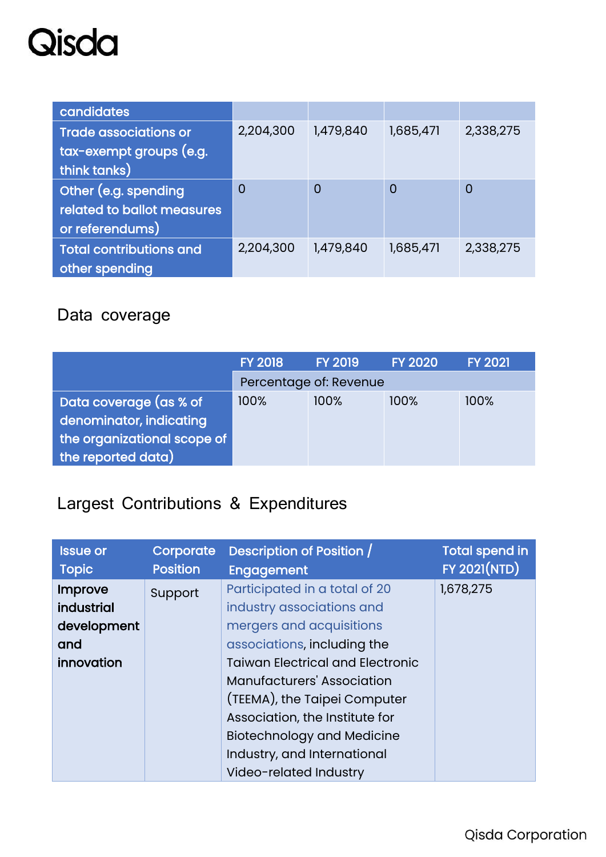### Qisda

| candidates                     |                |                |                |           |
|--------------------------------|----------------|----------------|----------------|-----------|
| <b>Trade associations or</b>   | 2,204,300      | 1,479,840      | 1,685,471      | 2,338,275 |
| tax-exempt groups (e.g.        |                |                |                |           |
| think tanks)                   |                |                |                |           |
| Other (e.g. spending           | $\overline{0}$ | $\overline{0}$ | $\overline{0}$ | 0         |
| related to ballot measures     |                |                |                |           |
| or referendums)                |                |                |                |           |
| <b>Total contributions and</b> | 2,204,300      | 1,479,840      | 1,685,471      | 2,338,275 |
| other spending                 |                |                |                |           |

### Data coverage

|                             | <b>FY 2018</b> | <b>FY 2019</b>         | <b>FY 2020</b> | <b>FY 2021</b> |
|-----------------------------|----------------|------------------------|----------------|----------------|
|                             |                | Percentage of: Revenue |                |                |
| Data coverage (as % of      | 100%           | 100%                   | 100%           | 100%           |
| denominator, indicating     |                |                        |                |                |
| the organizational scope of |                |                        |                |                |
| the reported data)          |                |                        |                |                |

### Largest Contributions & Expenditures

| <b>Issue or</b><br><b>Topic</b> | Corporate<br><b>Position</b> | Description of Position /<br>Engagement | <b>Total spend in</b><br><b>FY 2021(NTD)</b> |
|---------------------------------|------------------------------|-----------------------------------------|----------------------------------------------|
|                                 |                              |                                         | 1,678,275                                    |
| Improve                         | Support                      | Participated in a total of 20           |                                              |
| industrial                      |                              | industry associations and               |                                              |
| development                     |                              | mergers and acquisitions                |                                              |
| and                             |                              | associations, including the             |                                              |
| innovation                      |                              | <b>Taiwan Electrical and Electronic</b> |                                              |
|                                 |                              | <b>Manufacturers' Association</b>       |                                              |
|                                 |                              | (TEEMA), the Taipei Computer            |                                              |
|                                 |                              | Association, the Institute for          |                                              |
|                                 |                              | <b>Biotechnology and Medicine</b>       |                                              |
|                                 |                              | Industry, and International             |                                              |
|                                 |                              | Video-related Industry                  |                                              |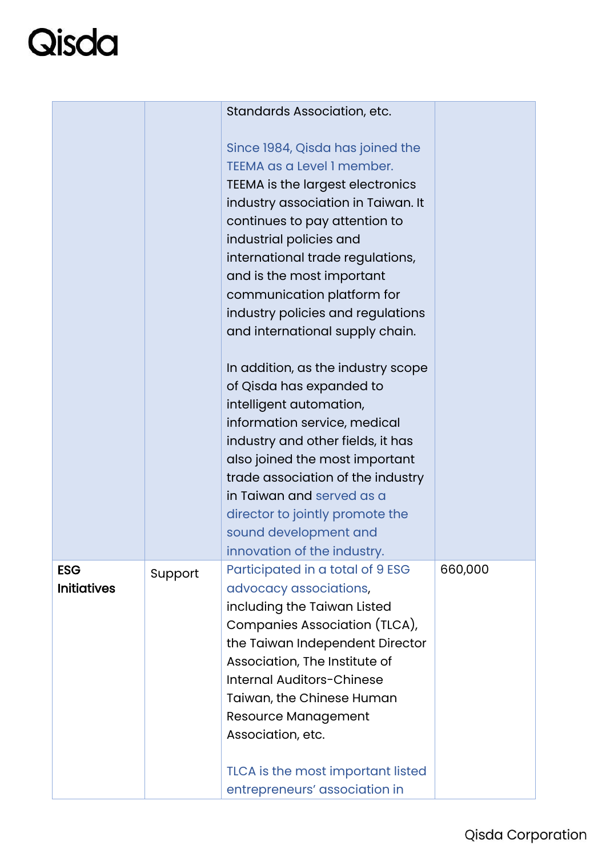# Qisda

|                    |         | Standards Association, etc.                                |         |
|--------------------|---------|------------------------------------------------------------|---------|
|                    |         |                                                            |         |
|                    |         | Since 1984, Qisda has joined the                           |         |
|                    |         | TEEMA as a Level 1 member.                                 |         |
|                    |         | TEEMA is the largest electronics                           |         |
|                    |         | industry association in Taiwan. It                         |         |
|                    |         | continues to pay attention to                              |         |
|                    |         | industrial policies and                                    |         |
|                    |         | international trade regulations,                           |         |
|                    |         | and is the most important                                  |         |
|                    |         | communication platform for                                 |         |
|                    |         | industry policies and regulations                          |         |
|                    |         | and international supply chain.                            |         |
|                    |         | In addition, as the industry scope                         |         |
|                    |         | of Qisda has expanded to                                   |         |
|                    |         | intelligent automation,                                    |         |
|                    |         | information service, medical                               |         |
|                    |         | industry and other fields, it has                          |         |
|                    |         | also joined the most important                             |         |
|                    |         | trade association of the industry                          |         |
|                    |         | in Taiwan and served as a                                  |         |
|                    |         | director to jointly promote the                            |         |
|                    |         | sound development and                                      |         |
|                    |         | innovation of the industry.                                |         |
| <b>ESG</b>         | Support | Participated in a total of 9 ESG                           | 660,000 |
| <b>Initiatives</b> |         | advocacy associations,                                     |         |
|                    |         | including the Taiwan Listed                                |         |
|                    |         | Companies Association (TLCA),                              |         |
|                    |         | the Taiwan Independent Director                            |         |
|                    |         | Association, The Institute of<br>Internal Auditors-Chinese |         |
|                    |         | Taiwan, the Chinese Human                                  |         |
|                    |         | <b>Resource Management</b>                                 |         |
|                    |         | Association, etc.                                          |         |
|                    |         |                                                            |         |
|                    |         | TLCA is the most important listed                          |         |
|                    |         | entrepreneurs' association in                              |         |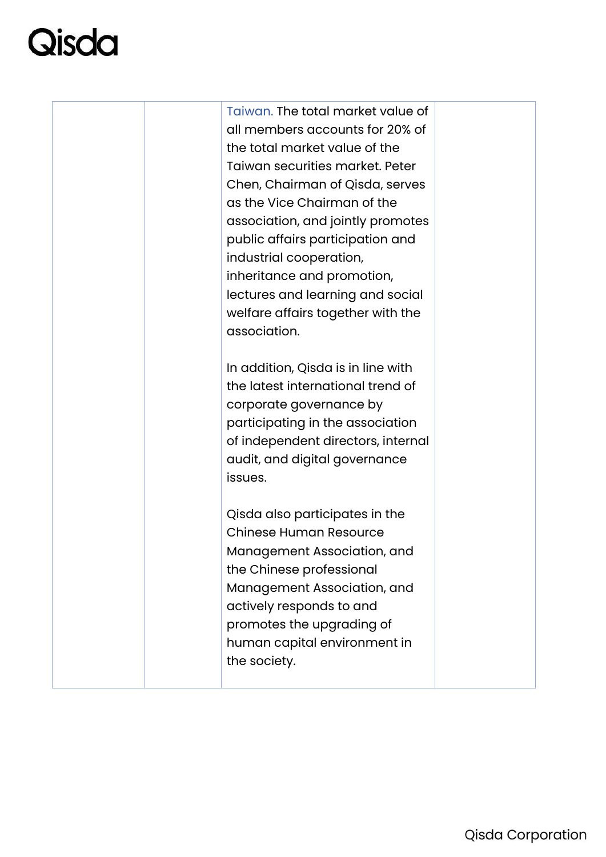# **Disda**

Taiwan. The total market value of all members accounts for 20% of the total market value of the Taiwan securities market. Peter Chen, Chairman of Qisda, serves as the Vice Chairman of the association, and jointly promotes public affairs participation and industrial cooperation, inheritance and promotion, lectures and learning and social welfare affairs together with the association. In addition, Qisda is in line with the latest international trend of corporate governance by participating in the association of independent directors, internal audit, and digital governance issues. Qisda also participates in the Chinese Human Resource Management Association, and the Chinese professional Management Association, and actively responds to and promotes the upgrading of human capital environment in the society.